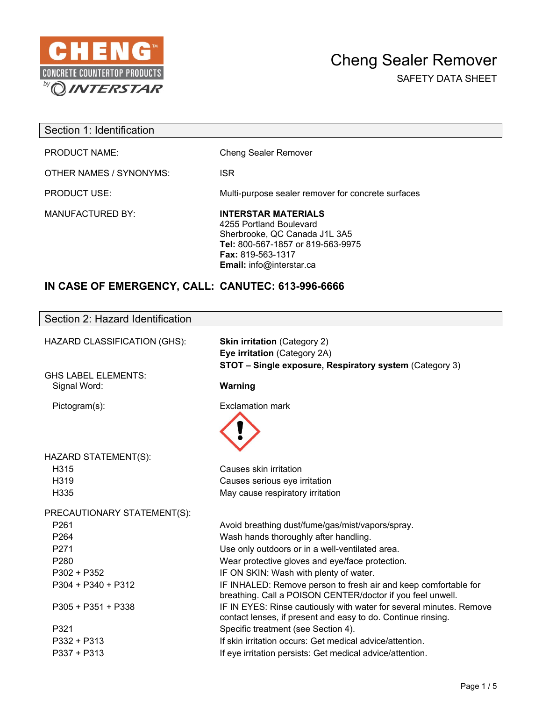

 $\overline{\phantom{a}}$ 

SAFETY DATA SHEET

| Section 1: Identification |                                                                                                                                                                                     |
|---------------------------|-------------------------------------------------------------------------------------------------------------------------------------------------------------------------------------|
| <b>PRODUCT NAME:</b>      | <b>Cheng Sealer Remover</b>                                                                                                                                                         |
| OTHER NAMES / SYNONYMS:   | <b>ISR</b>                                                                                                                                                                          |
| <b>PRODUCT USE:</b>       | Multi-purpose sealer remover for concrete surfaces                                                                                                                                  |
| <b>MANUFACTURED BY:</b>   | <b>INTERSTAR MATERIALS</b><br>4255 Portland Boulevard<br>Sherbrooke, QC Canada J1L 3A5<br>Tel: 800-567-1857 or 819-563-9975<br><b>Fax: 819-563-1317</b><br>Email: info@interstar.ca |

## **IN CASE OF EMERGENCY, CALL: CANUTEC: 613-996-6666**

| Section 2: Hazard Identification |                                                                                                                                     |
|----------------------------------|-------------------------------------------------------------------------------------------------------------------------------------|
| HAZARD CLASSIFICATION (GHS):     | <b>Skin irritation (Category 2)</b>                                                                                                 |
|                                  | Eye irritation (Category 2A)                                                                                                        |
|                                  | STOT - Single exposure, Respiratory system (Category 3)                                                                             |
| GHS LABEL ELEMENTS:              |                                                                                                                                     |
| Signal Word:                     | Warning                                                                                                                             |
| Pictogram(s):                    | <b>Exclamation mark</b>                                                                                                             |
|                                  |                                                                                                                                     |
|                                  |                                                                                                                                     |
|                                  |                                                                                                                                     |
| HAZARD STATEMENT(S):             |                                                                                                                                     |
| H315                             | Causes skin irritation                                                                                                              |
| H <sub>3</sub> 19                | Causes serious eye irritation                                                                                                       |
| H335                             | May cause respiratory irritation                                                                                                    |
| PRECAUTIONARY STATEMENT(S):      |                                                                                                                                     |
| P261                             | Avoid breathing dust/fume/gas/mist/vapors/spray.                                                                                    |
| P264                             | Wash hands thoroughly after handling.                                                                                               |
| P <sub>271</sub>                 | Use only outdoors or in a well-ventilated area.                                                                                     |
| P280                             | Wear protective gloves and eye/face protection.                                                                                     |
| P302 + P352                      | IF ON SKIN: Wash with plenty of water.                                                                                              |
| $P304 + P340 + P312$             | IF INHALED: Remove person to fresh air and keep comfortable for<br>breathing. Call a POISON CENTER/doctor if you feel unwell.       |
| P305 + P351 + P338               | IF IN EYES: Rinse cautiously with water for several minutes. Remove<br>contact lenses, if present and easy to do. Continue rinsing. |
| P321                             | Specific treatment (see Section 4).                                                                                                 |
| P332 + P313                      | If skin irritation occurs: Get medical advice/attention.                                                                            |
| P337 + P313                      | If eye irritation persists: Get medical advice/attention.                                                                           |
|                                  |                                                                                                                                     |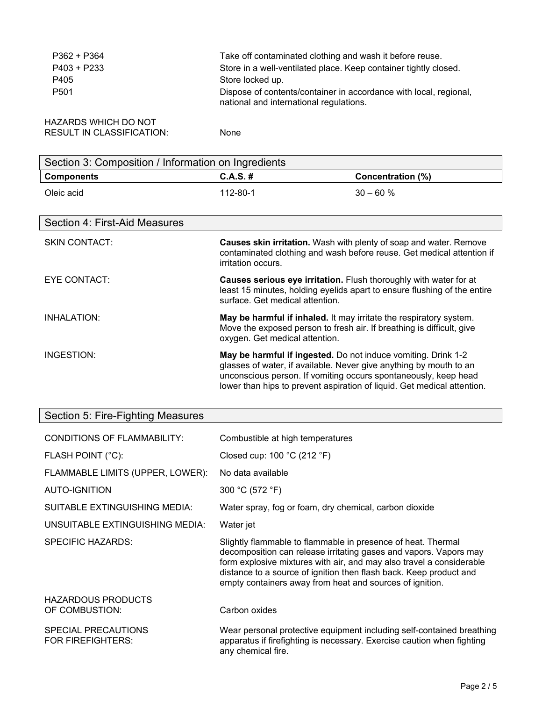| $P362 + P364$<br>P403 + P233<br>P405<br>P <sub>501</sub>        | Take off contaminated clothing and wash it before reuse.<br>Store in a well-ventilated place. Keep container tightly closed.<br>Store locked up.<br>Dispose of contents/container in accordance with local, regional,<br>national and international regulations.                  |                                                                                                                                             |
|-----------------------------------------------------------------|-----------------------------------------------------------------------------------------------------------------------------------------------------------------------------------------------------------------------------------------------------------------------------------|---------------------------------------------------------------------------------------------------------------------------------------------|
| <b>HAZARDS WHICH DO NOT</b><br><b>RESULT IN CLASSIFICATION:</b> | None                                                                                                                                                                                                                                                                              |                                                                                                                                             |
| Section 3: Composition / Information on Ingredients             |                                                                                                                                                                                                                                                                                   |                                                                                                                                             |
| <b>Components</b>                                               | $C.A.S.$ #                                                                                                                                                                                                                                                                        | <b>Concentration (%)</b>                                                                                                                    |
| Oleic acid                                                      | 112-80-1                                                                                                                                                                                                                                                                          | $30 - 60%$                                                                                                                                  |
| Section 4: First-Aid Measures                                   |                                                                                                                                                                                                                                                                                   |                                                                                                                                             |
| <b>SKIN CONTACT:</b>                                            | irritation occurs.                                                                                                                                                                                                                                                                | Causes skin irritation. Wash with plenty of soap and water. Remove<br>contaminated clothing and wash before reuse. Get medical attention if |
| <b>EYE CONTACT:</b>                                             | Causes serious eye irritation. Flush thoroughly with water for at<br>least 15 minutes, holding eyelids apart to ensure flushing of the entire<br>surface. Get medical attention.                                                                                                  |                                                                                                                                             |
| <b>INHALATION:</b>                                              | May be harmful if inhaled. It may irritate the respiratory system.<br>Move the exposed person to fresh air. If breathing is difficult, give<br>oxygen. Get medical attention.                                                                                                     |                                                                                                                                             |
| INGESTION:                                                      | May be harmful if ingested. Do not induce vomiting. Drink 1-2<br>glasses of water, if available. Never give anything by mouth to an<br>unconscious person. If vomiting occurs spontaneously, keep head<br>lower than hips to prevent aspiration of liquid. Get medical attention. |                                                                                                                                             |

# Section 5: Fire-Fighting Measures

| <b>CONDITIONS OF FLAMMABILITY:</b>              | Combustible at high temperatures                                                                                                                                                                                                                                                                                                            |
|-------------------------------------------------|---------------------------------------------------------------------------------------------------------------------------------------------------------------------------------------------------------------------------------------------------------------------------------------------------------------------------------------------|
| FLASH POINT (°C):                               | Closed cup: $100 °C$ (212 °F)                                                                                                                                                                                                                                                                                                               |
| FLAMMABLE LIMITS (UPPER, LOWER):                | No data available                                                                                                                                                                                                                                                                                                                           |
| AUTO-IGNITION                                   | 300 °C (572 °F)                                                                                                                                                                                                                                                                                                                             |
| SUITABLE EXTINGUISHING MEDIA:                   | Water spray, fog or foam, dry chemical, carbon dioxide                                                                                                                                                                                                                                                                                      |
| UNSUITABLE EXTINGUISHING MEDIA:                 | Water jet                                                                                                                                                                                                                                                                                                                                   |
| SPECIFIC HAZARDS:                               | Slightly flammable to flammable in presence of heat. Thermal<br>decomposition can release irritating gases and vapors. Vapors may<br>form explosive mixtures with air, and may also travel a considerable<br>distance to a source of ignition then flash back. Keep product and<br>empty containers away from heat and sources of ignition. |
| <b>HAZARDOUS PRODUCTS</b><br>OF COMBUSTION:     | Carbon oxides                                                                                                                                                                                                                                                                                                                               |
| SPECIAL PRECAUTIONS<br><b>FOR FIREFIGHTERS:</b> | Wear personal protective equipment including self-contained breathing<br>apparatus if firefighting is necessary. Exercise caution when fighting<br>any chemical fire.                                                                                                                                                                       |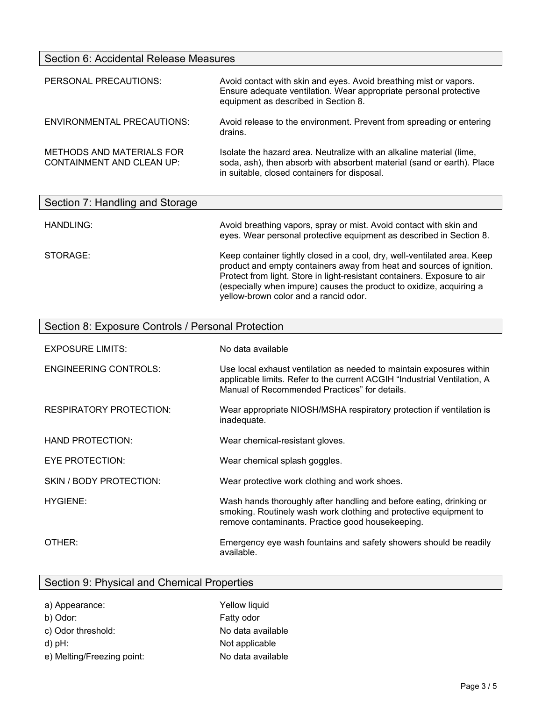#### Section 6: Accidental Release Measures

| PERSONAL PRECAUTIONS:                                         | Avoid contact with skin and eyes. Avoid breathing mist or vapors.<br>Ensure adequate ventilation. Wear appropriate personal protective<br>equipment as described in Section 8.                 |
|---------------------------------------------------------------|------------------------------------------------------------------------------------------------------------------------------------------------------------------------------------------------|
| ENVIRONMENTAL PRECAUTIONS:                                    | Avoid release to the environment. Prevent from spreading or entering<br>drains.                                                                                                                |
| METHODS AND MATERIALS FOR<br><b>CONTAINMENT AND CLEAN UP:</b> | Isolate the hazard area. Neutralize with an alkaline material (lime,<br>soda, ash), then absorb with absorbent material (sand or earth). Place<br>in suitable, closed containers for disposal. |

| Section 7: Handling and Storage |                                                                                                                                                                                                                                                                                                                                              |
|---------------------------------|----------------------------------------------------------------------------------------------------------------------------------------------------------------------------------------------------------------------------------------------------------------------------------------------------------------------------------------------|
| HANDLING:                       | Avoid breathing vapors, spray or mist. Avoid contact with skin and<br>eyes. Wear personal protective equipment as described in Section 8.                                                                                                                                                                                                    |
| STORAGE:                        | Keep container tightly closed in a cool, dry, well-ventilated area. Keep<br>product and empty containers away from heat and sources of ignition.<br>Protect from light. Store in light-resistant containers. Exposure to air<br>(especially when impure) causes the product to oxidize, acquiring a<br>yellow-brown color and a rancid odor. |

| Section 8: Exposure Controls / Personal Protection |                                                                                                                                                                                                   |  |
|----------------------------------------------------|---------------------------------------------------------------------------------------------------------------------------------------------------------------------------------------------------|--|
| <b>EXPOSURE LIMITS:</b>                            | No data available                                                                                                                                                                                 |  |
| <b>ENGINEERING CONTROLS:</b>                       | Use local exhaust ventilation as needed to maintain exposures within<br>applicable limits. Refer to the current ACGIH "Industrial Ventilation, A<br>Manual of Recommended Practices" for details. |  |
| <b>RESPIRATORY PROTECTION:</b>                     | Wear appropriate NIOSH/MSHA respiratory protection if ventilation is<br>inadequate.                                                                                                               |  |
| HAND PROTECTION:                                   | Wear chemical-resistant gloves.                                                                                                                                                                   |  |
| EYE PROTECTION:                                    | Wear chemical splash goggles.                                                                                                                                                                     |  |
| SKIN / BODY PROTECTION:                            | Wear protective work clothing and work shoes.                                                                                                                                                     |  |
| <b>HYGIENE:</b>                                    | Wash hands thoroughly after handling and before eating, drinking or<br>smoking. Routinely wash work clothing and protective equipment to<br>remove contaminants. Practice good housekeeping.      |  |
| OTHER:                                             | Emergency eye wash fountains and safety showers should be readily<br>available.                                                                                                                   |  |

## Section 9: Physical and Chemical Properties

| a) Appearance:             | Yellow liquid     |
|----------------------------|-------------------|
| b) Odor:                   | Fatty odor        |
| c) Odor threshold:         | No data available |
| $d$ ) pH:                  | Not applicable    |
| e) Melting/Freezing point: | No data available |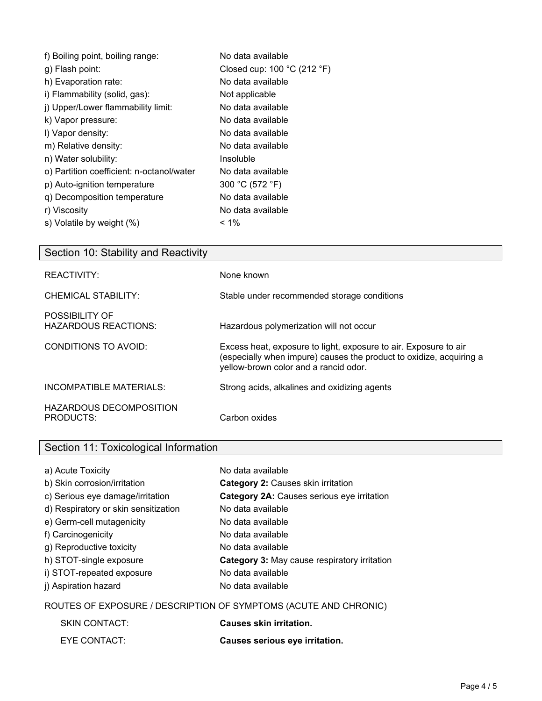| f) Boiling point, boiling range:          | No data available           |
|-------------------------------------------|-----------------------------|
| g) Flash point:                           | Closed cup: 100 °C (212 °F) |
| h) Evaporation rate:                      | No data available           |
| i) Flammability (solid, gas):             | Not applicable              |
| j) Upper/Lower flammability limit:        | No data available           |
| k) Vapor pressure:                        | No data available           |
| I) Vapor density:                         | No data available           |
| m) Relative density:                      | No data available           |
| n) Water solubility:                      | Insoluble                   |
| o) Partition coefficient: n-octanol/water | No data available           |
| p) Auto-ignition temperature              | 300 °C (572 °F)             |
| q) Decomposition temperature              | No data available           |
| r) Viscosity                              | No data available           |
| s) Volatile by weight (%)                 | $< 1\%$                     |

| Section 10: Stability and Reactivity          |                                                                                                                                                                                  |
|-----------------------------------------------|----------------------------------------------------------------------------------------------------------------------------------------------------------------------------------|
| REACTIVITY:                                   | None known                                                                                                                                                                       |
| CHEMICAL STABILITY:                           | Stable under recommended storage conditions                                                                                                                                      |
| POSSIBILITY OF<br><b>HAZARDOUS REACTIONS:</b> | Hazardous polymerization will not occur                                                                                                                                          |
| CONDITIONS TO AVOID:                          | Excess heat, exposure to light, exposure to air. Exposure to air<br>(especially when impure) causes the product to oxidize, acquiring a<br>yellow-brown color and a rancid odor. |
| INCOMPATIBLE MATERIALS:                       | Strong acids, alkalines and oxidizing agents                                                                                                                                     |
| <b>HAZARDOUS DECOMPOSITION</b><br>PRODUCTS:   | Carbon oxides                                                                                                                                                                    |

## Section 11: Toxicological Information a) Acute Toxicity No data available

| a) Acute TOXICITY                    | no qata avaliable                            |
|--------------------------------------|----------------------------------------------|
| b) Skin corrosion/irritation         | Category 2: Causes skin irritation           |
| c) Serious eye damage/irritation     | Category 2A: Causes serious eye irritation   |
| d) Respiratory or skin sensitization | No data available                            |
| e) Germ-cell mutagenicity            | No data available                            |
| f) Carcinogenicity                   | No data available                            |
| g) Reproductive toxicity             | No data available                            |
| h) STOT-single exposure              | Category 3: May cause respiratory irritation |
| i) STOT-repeated exposure            | No data available                            |
| j) Aspiration hazard                 | No data available                            |
|                                      |                                              |

#### ROUTES OF EXPOSURE / DESCRIPTION OF SYMPTOMS (ACUTE AND CHRONIC)

| <b>SKIN CONTACT:</b> | <b>Causes skin irritation.</b> |
|----------------------|--------------------------------|
| EYE CONTACT:         | Causes serious eye irritation. |